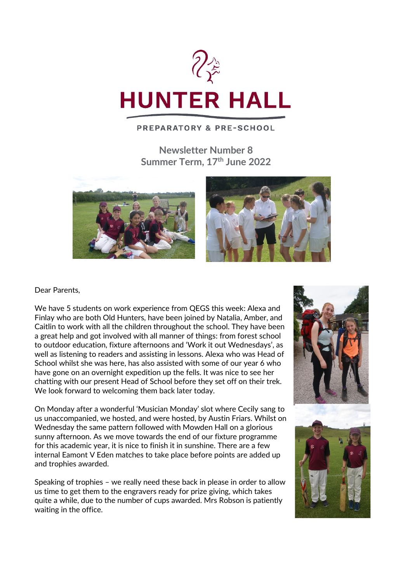

### **PREPARATORY & PRE-SCHOOL**

**Newsletter Number 8 Summer Term, 17 th June 2022**



#### Dear Parents,

We have 5 students on work experience from QEGS this week: Alexa and Finlay who are both Old Hunters, have been joined by Natalia, Amber, and Caitlin to work with all the children throughout the school. They have been a great help and got involved with all manner of things: from forest school to outdoor education, fixture afternoons and 'Work it out Wednesdays', as well as listening to readers and assisting in lessons. Alexa who was Head of School whilst she was here, has also assisted with some of our year 6 who have gone on an overnight expedition up the fells. It was nice to see her chatting with our present Head of School before they set off on their trek. We look forward to welcoming them back later today.

On Monday after a wonderful 'Musician Monday' slot where Cecily sang to us unaccompanied, we hosted, and were hosted, by Austin Friars. Whilst on Wednesday the same pattern followed with Mowden Hall on a glorious sunny afternoon. As we move towards the end of our fixture programme for this academic year, it is nice to finish it in sunshine. There are a few internal Eamont V Eden matches to take place before points are added up and trophies awarded.

Speaking of trophies – we really need these back in please in order to allow us time to get them to the engravers ready for prize giving, which takes quite a while, due to the number of cups awarded. Mrs Robson is patiently waiting in the office.



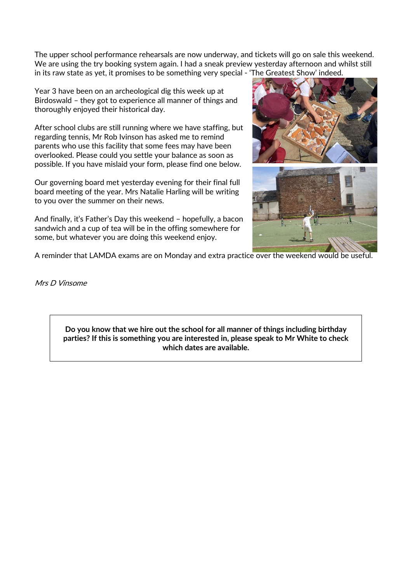The upper school performance rehearsals are now underway, and tickets will go on sale this weekend. We are using the try booking system again. I had a sneak preview yesterday afternoon and whilst still in its raw state as yet, it promises to be something very special - 'The Greatest Show' indeed.

Year 3 have been on an archeological dig this week up at Birdoswald – they got to experience all manner of things and thoroughly enjoyed their historical day.

After school clubs are still running where we have staffing, but regarding tennis, Mr Rob Ivinson has asked me to remind parents who use this facility that some fees may have been overlooked. Please could you settle your balance as soon as possible. If you have mislaid your form, please find one below.

Our governing board met yesterday evening for their final full board meeting of the year. Mrs Natalie Harling will be writing to you over the summer on their news.

And finally, it's Father's Day this weekend – hopefully, a bacon sandwich and a cup of tea will be in the offing somewhere for some, but whatever you are doing this weekend enjoy.



A reminder that LAMDA exams are on Monday and extra practice over the weekend would be useful.

Mrs D Vinsome

**Do you know that we hire out the school for all manner of things including birthday parties? If this is something you are interested in, please speak to Mr White to check which dates are available.**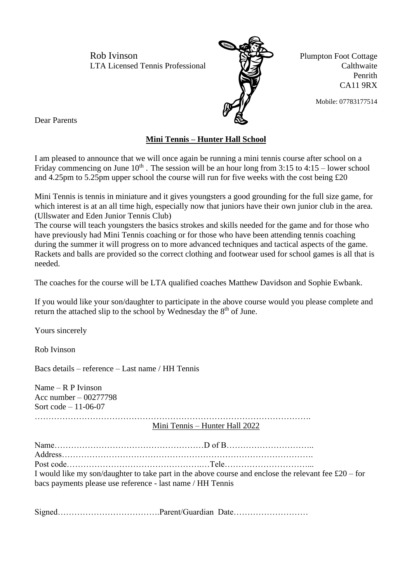Rob Ivinson Plumpton Foot Cottage LTA Licensed Tennis Professional VIX Calthwaite



Penrith CA11 9RX

Mobile: 07783177514

Dear Parents

### **Mini Tennis – Hunter Hall School**

I am pleased to announce that we will once again be running a mini tennis course after school on a Friday commencing on June  $10^{th}$ . The session will be an hour long from 3:15 to 4:15 – lower school and 4.25pm to 5.25pm upper school the course will run for five weeks with the cost being £20

Mini Tennis is tennis in miniature and it gives youngsters a good grounding for the full size game, for which interest is at an all time high, especially now that juniors have their own junior club in the area. (Ullswater and Eden Junior Tennis Club)

The course will teach youngsters the basics strokes and skills needed for the game and for those who have previously had Mini Tennis coaching or for those who have been attending tennis coaching during the summer it will progress on to more advanced techniques and tactical aspects of the game. Rackets and balls are provided so the correct clothing and footwear used for school games is all that is needed.

The coaches for the course will be LTA qualified coaches Matthew Davidson and Sophie Ewbank.

If you would like your son/daughter to participate in the above course would you please complete and return the attached slip to the school by Wednesday the 8<sup>th</sup> of June.

Yours sincerely

Rob Ivinson

Bacs details – reference – Last name / HH Tennis

Name – R P Ivinson Acc number – 00277798 Sort code – 11-06-07 ………………………………………………………………………………………. Mini Tennis – Hunter Hall 2022

Name………………………………………………D of B………………………….. Address………………………………………………………………………………. Post code………………………………………….…Tele…………………………... I would like my son/daughter to take part in the above course and enclose the relevant fee £20 – for bacs payments please use reference - last name / HH Tennis

Signed……………………………….Parent/Guardian Date………………………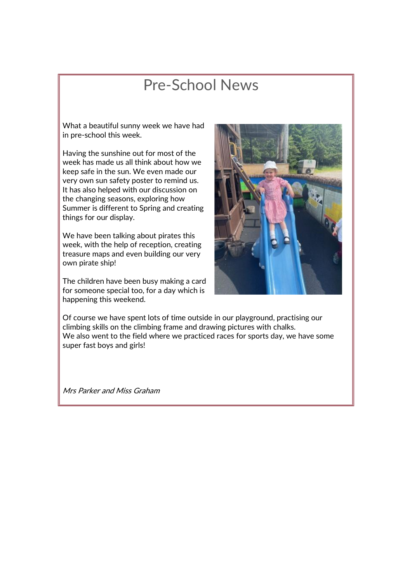# Pre-School News

What a beautiful sunny week we have had in pre-school this week.

Having the sunshine out for most of the week has made us all think about how we keep safe in the sun. We even made our very own sun safety poster to remind us. It has also helped with our discussion on the changing seasons, exploring how Summer is different to Spring and creating things for our display.

We have been talking about pirates this week, with the help of reception, creating treasure maps and even building our very own pirate ship!

The children have been busy making a card for someone special too, for a day which is happening this weekend.



Of course we have spent lots of time outside in our playground, practising our climbing skills on the climbing frame and drawing pictures with chalks. We also went to the field where we practiced races for sports day, we have some super fast boys and girls!

Mrs Parker and Miss Graham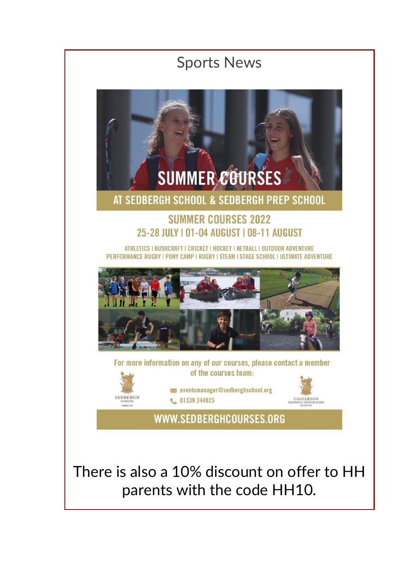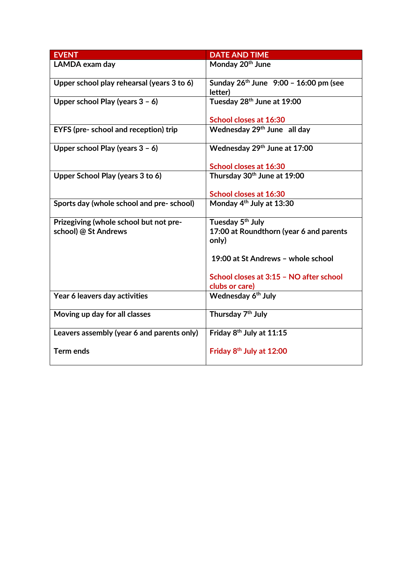| <b>EVENT</b>                                                   | <b>DATE AND TIME</b>                                                             |
|----------------------------------------------------------------|----------------------------------------------------------------------------------|
| LAMDA exam day                                                 | Monday 20 <sup>th</sup> June                                                     |
| Upper school play rehearsal (years 3 to 6)                     | Sunday $26^{th}$ June $9:00 - 16:00$ pm (see<br>letter)                          |
| Upper school Play (years $3 - 6$ )                             | Tuesday 28th June at 19:00                                                       |
|                                                                | School closes at 16:30                                                           |
| EYFS (pre- school and reception) trip                          | Wednesday 29th June all day                                                      |
| Upper school Play (years $3 - 6$ )                             | Wednesday 29th June at 17:00                                                     |
|                                                                | School closes at 16:30                                                           |
| Upper School Play (years 3 to 6)                               | Thursday 30th June at 19:00                                                      |
|                                                                | School closes at 16:30                                                           |
| Sports day (whole school and pre-school)                       | Monday 4 <sup>th</sup> July at 13:30                                             |
| Prizegiving (whole school but not pre-<br>school) @ St Andrews | Tuesday 5 <sup>th</sup> July<br>17:00 at Roundthorn (year 6 and parents<br>only) |
|                                                                | 19:00 at St Andrews - whole school                                               |
|                                                                | School closes at 3:15 - NO after school<br>clubs or care)                        |
| Year 6 leavers day activities                                  | Wednesday 6 <sup>th</sup> July                                                   |
| Moving up day for all classes                                  | Thursday 7 <sup>th</sup> July                                                    |
| Leavers assembly (year 6 and parents only)                     | Friday 8 <sup>th</sup> July at 11:15                                             |
| <b>Term ends</b>                                               | Friday 8 <sup>th</sup> July at 12:00                                             |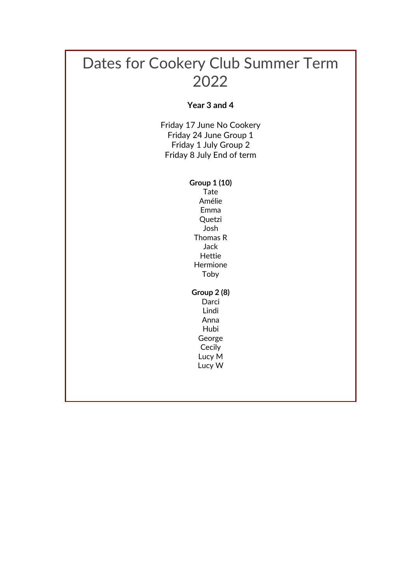## Dates for Cookery Club Summer Term 2022

**Year 3 and 4**

Friday 17 June No Cookery Friday 24 June Group 1 Friday 1 July Group 2 Friday 8 July End of term

#### **Group 1 (10)**

Tate Amélie Emma **Quetzi** Josh Thomas R Jack Hettie Hermione Toby

### **Group 2 (8)**

**Darci** Lindi Anna Hubi George Cecily Lucy M Lucy W